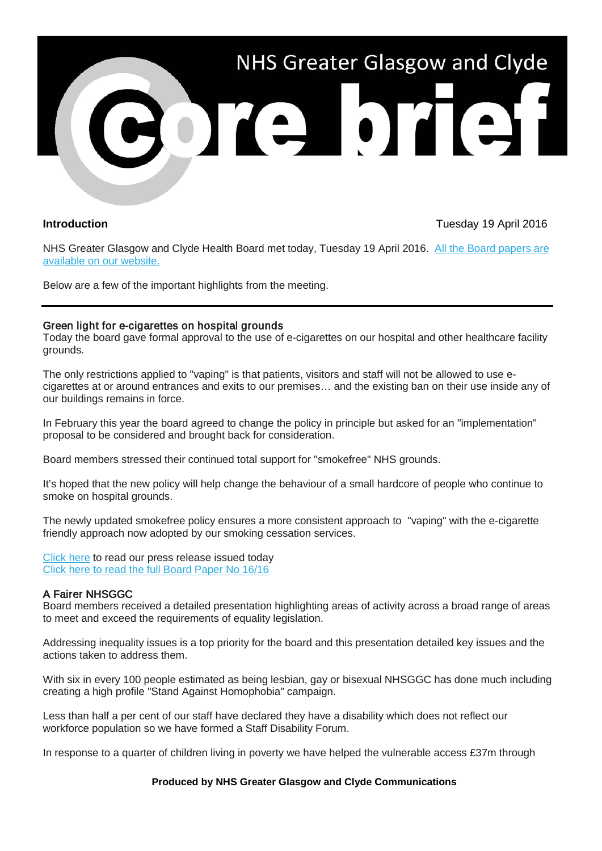

# **Introduction** Tuesday 19 April 2016

NHS Greater Glasgow and Clyde Health Board met today, Tuesday 19 April 2016. All the Board papers are [available on our website.](http://nhsggc.us12.list-manage1.com/track/click?u=0f385b5aea37eaf0213bd19fb&id=8344cc88d1&e=5af5e1832c) 

Below are a few of the important highlights from the meeting.

### Green light for e-cigarettes on hospital grounds

Today the board gave formal approval to the use of e-cigarettes on our hospital and other healthcare facility grounds.

The only restrictions applied to "vaping" is that patients, visitors and staff will not be allowed to use ecigarettes at or around entrances and exits to our premises… and the existing ban on their use inside any of our buildings remains in force.

In February this year the board agreed to change the policy in principle but asked for an "implementation" proposal to be considered and brought back for consideration.

Board members stressed their continued total support for "smokefree" NHS grounds.

It's hoped that the new policy will help change the behaviour of a small hardcore of people who continue to smoke on hospital grounds.

The newly updated smokefree policy ensures a more consistent approach to "vaping" with the e-cigarette friendly approach now adopted by our smoking cessation services.

[Click here](http://nhsggc.us12.list-manage.com/track/click?u=0f385b5aea37eaf0213bd19fb&id=407771a6cc&e=5af5e1832c) to read our press release issued today [Click here to read the full Board Paper No 16/16](http://nhsggc.us12.list-manage1.com/track/click?u=0f385b5aea37eaf0213bd19fb&id=c08fb59912&e=5af5e1832c)

### A Fairer NHSGGC

Board members received a detailed presentation highlighting areas of activity across a broad range of areas to meet and exceed the requirements of equality legislation.

Addressing inequality issues is a top priority for the board and this presentation detailed key issues and the actions taken to address them.

With six in every 100 people estimated as being lesbian, gay or bisexual NHSGGC has done much including creating a high profile "Stand Against Homophobia" campaign.

Less than half a per cent of our staff have declared they have a disability which does not reflect our workforce population so we have formed a Staff Disability Forum.

In response to a quarter of children living in poverty we have helped the vulnerable access £37m through

#### **Produced by NHS Greater Glasgow and Clyde Communications**